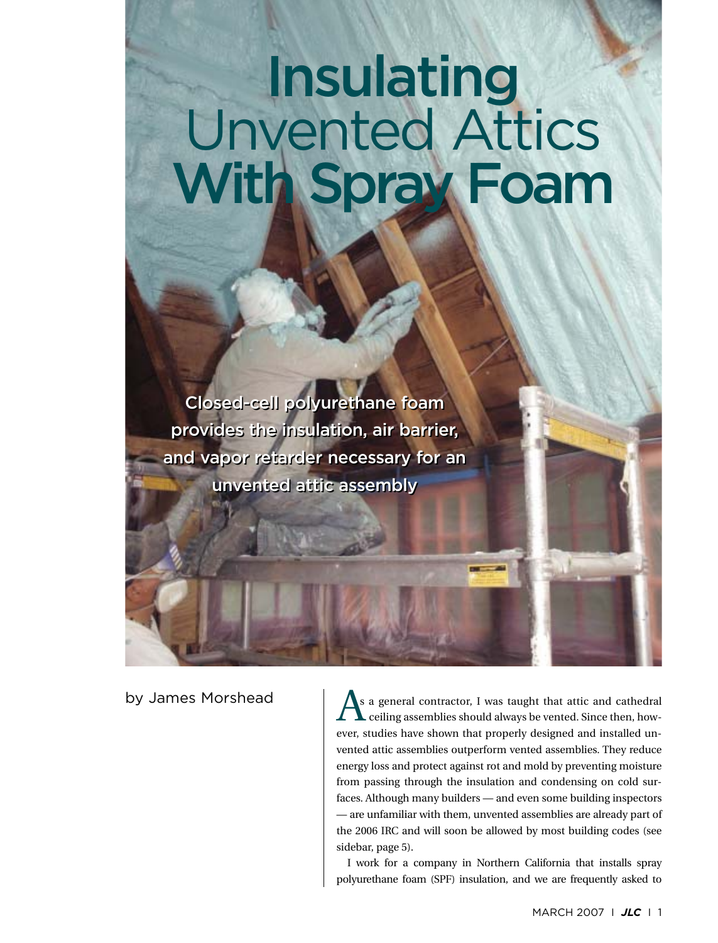# Insulating Unvented Attics With Spray Foam

Closed-cell polyurethane foam Closed-cell polyurethane foam provides the insulation, air barrier, provides the insulation, air barrier, and vapor retarder necessary for an and vapor retarder necessary for an unvented attic assembly unvented attic assembly

by James Morshead

s a general contractor, I was taught that attic and cathedral ceiling assemblies should always be vented. Since then, however, studies have shown that properly designed and installed unvented attic assemblies outperform vented assemblies. They reduce energy loss and protect against rot and mold by preventing moisture from passing through the insulation and condensing on cold surfaces. Although many builders — and even some building inspectors — are unfamiliar with them, unvented assemblies are already part of the 2006 IRC and will soon be allowed by most building codes (see sidebar, page 5).

I work for a company in Northern California that installs spray polyurethane foam (SPF) insulation, and we are frequently asked to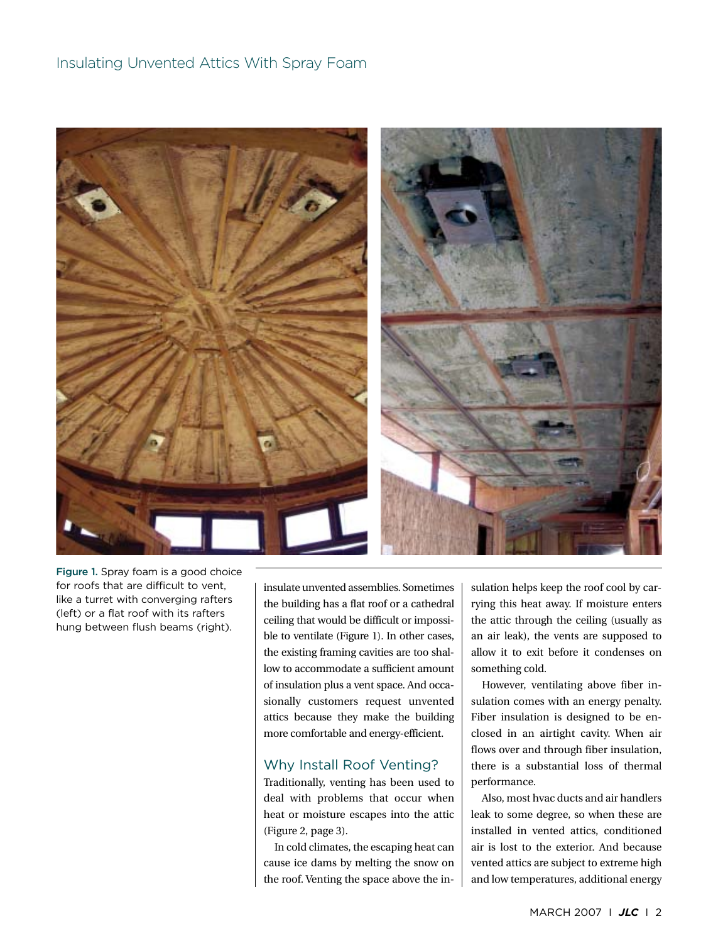## Insulating Unvented Attics With Spray Foam



Figure 1. Spray foam is a good choice for roofs that are difficult to vent, like a turret with converging rafters (left) or a flat roof with its rafters hung between flush beams (right).

insulate unvented assemblies. Sometimes the building has a flat roof or a cathedral ceiling that would be difficult or impossible to ventilate (Figure 1). In other cases, the existing framing cavities are too shallow to accommodate a sufficient amount of insulation plus a vent space. And occasionally customers request unvented attics because they make the building more comfortable and energy-efficient.

#### Why Install Roof Venting?

Traditionally, venting has been used to deal with problems that occur when heat or moisture escapes into the attic (Figure 2, page 3).

In cold climates, the escaping heat can cause ice dams by melting the snow on the roof. Venting the space above the in-

sulation helps keep the roof cool by carrying this heat away. If moisture enters the attic through the ceiling (usually as an air leak), the vents are supposed to allow it to exit before it condenses on something cold.

However, ventilating above fiber insulation comes with an energy penalty. Fiber insulation is designed to be enclosed in an airtight cavity. When air flows over and through fiber insulation, there is a substantial loss of thermal performance.

Also, most hvac ducts and air handlers leak to some degree, so when these are installed in vented attics, conditioned air is lost to the exterior. And because vented attics are subject to extreme high and low temperatures, additional energy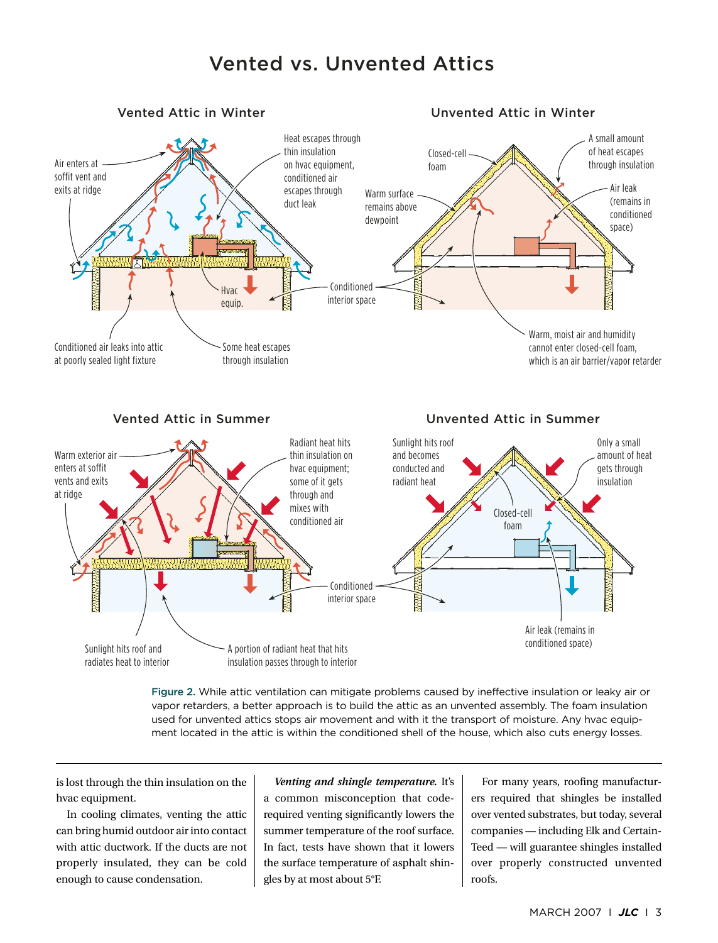# Vented vs. Unvented Attics



Figure 2. While attic ventilation can mitigate problems caused by ineffective insulation or leaky air or vapor retarders, a better approach is to build the attic as an unvented assembly. The foam insulation used for unvented attics stops air movement and with it the transport of moisture. Any hvac equipment located in the attic is within the conditioned shell of the house, which also cuts energy losses.

is lost through the thin insulation on the hvac equipment.

In cooling climates, venting the attic can bring humid outdoor air into contact with attic ductwork. If the ducts are not properly insulated, they can be cold enough to cause condensation.

*Venting and shingle temperature.* It's a common misconception that coderequired venting significantly lowers the summer temperature of the roof surface. In fact, tests have shown that it lowers the surface temperature of asphalt shingles by at most about 5°F.

For many years, roofing manufacturers required that shingles be installed over vented substrates, but today, several companies — including Elk and Certain-Teed — will guarantee shingles installed over properly constructed unvented roofs.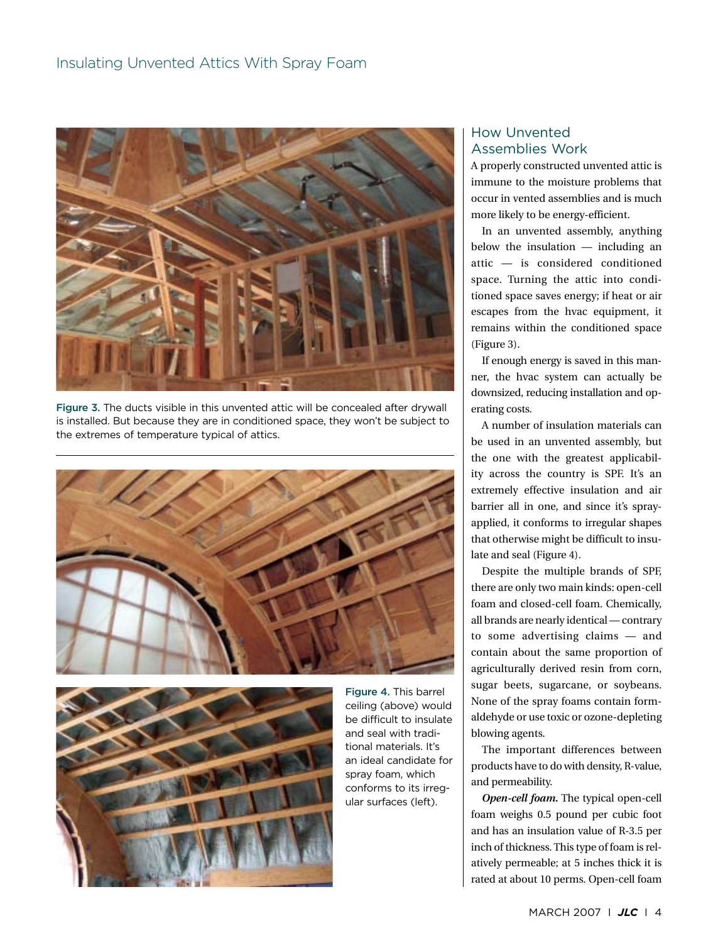

Figure 3. The ducts visible in this unvented attic will be concealed after drywall is installed. But because they are in conditioned space, they won't be subject to the extremes of temperature typical of attics.





Figure 4. This barrel ceiling (above) would be difficult to insulate and seal with traditional materials. It's an ideal candidate for spray foam, which conforms to its irregular surfaces (left).

### How Unvented Assemblies Work

A properly constructed unvented attic is immune to the moisture problems that occur in vented assemblies and is much more likely to be energy-efficient.

In an unvented assembly, anything below the insulation — including an attic — is considered conditioned space. Turning the attic into conditioned space saves energy; if heat or air escapes from the hvac equipment, it remains within the conditioned space (Figure 3).

If enough energy is saved in this manner, the hvac system can actually be downsized, reducing installation and operating costs.

A number of insulation materials can be used in an unvented assembly, but the one with the greatest applicability across the country is SPF. It's an extremely effective insulation and air barrier all in one, and since it's sprayapplied, it conforms to irregular shapes that otherwise might be difficult to insulate and seal (Figure 4).

Despite the multiple brands of SPF, there are only two main kinds: open-cell foam and closed-cell foam. Chemically, all brands are nearly identical — contrary to some advertising claims — and contain about the same proportion of agriculturally derived resin from corn, sugar beets, sugarcane, or soybeans. None of the spray foams contain formaldehyde or use toxic or ozone-depleting blowing agents.

The important differences between products have to do with density, R-value, and permeability.

*Open-cell foam.* The typical open-cell foam weighs 0.5 pound per cubic foot and has an insulation value of R-3.5 per inch of thickness. This type of foam is relatively permeable; at 5 inches thick it is rated at about 10 perms. Open-cell foam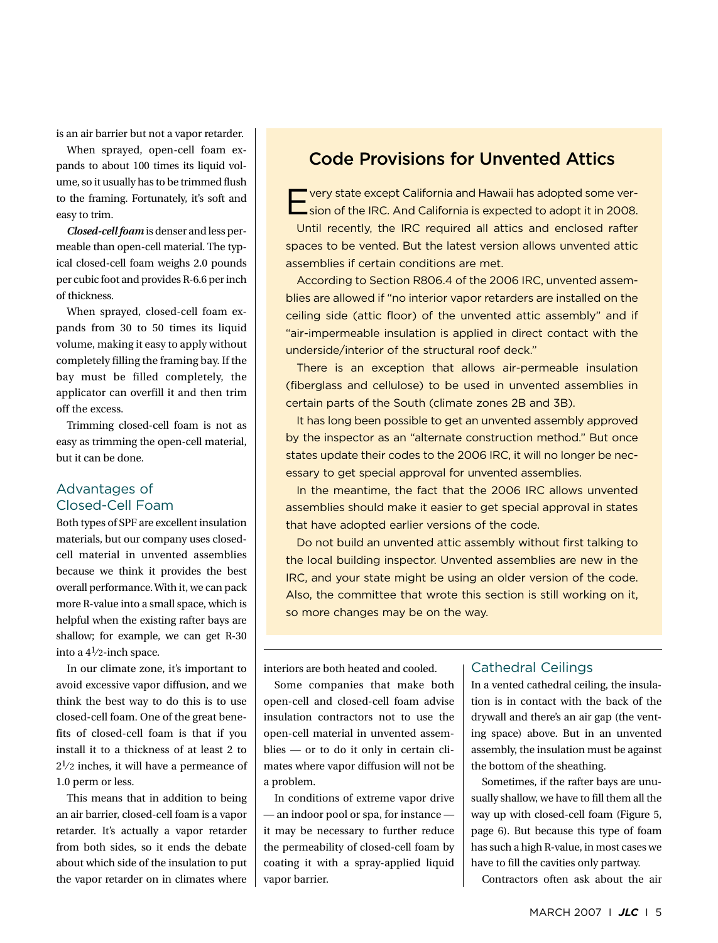is an air barrier but not a vapor retarder.

When sprayed, open-cell foam expands to about 100 times its liquid volume, so it usually has to be trimmed flush to the framing. Fortunately, it's soft and easy to trim.

*Closed-cell foam* is denser and less permeable than open-cell material. The typical closed-cell foam weighs 2.0 pounds per cubic foot and provides R-6.6 per inch of thickness.

When sprayed, closed-cell foam expands from 30 to 50 times its liquid volume, making it easy to apply without completely filling the framing bay. If the bay must be filled completely, the applicator can overfill it and then trim off the excess.

Trimming closed-cell foam is not as easy as trimming the open-cell material, but it can be done.

#### Advantages of Closed-Cell Foam

Both types of SPF are excellent insulation materials, but our company uses closedcell material in unvented assemblies because we think it provides the best overall performance. With it, we can pack more R-value into a small space, which is helpful when the existing rafter bays are shallow; for example, we can get R-30 into a 41⁄2-inch space.

In our climate zone, it's important to avoid excessive vapor diffusion, and we think the best way to do this is to use closed-cell foam. One of the great benefits of closed-cell foam is that if you install it to a thickness of at least 2 to  $2^{1/2}$  inches, it will have a permeance of 1.0 perm or less.

This means that in addition to being an air barrier, closed-cell foam is a vapor retarder. It's actually a vapor retarder from both sides, so it ends the debate about which side of the insulation to put the vapor retarder on in climates where

## Code Provisions for Unvented Attics

Every state except California and Hawaii has adopted some ver-sion of the IRC. And California is expected to adopt it in 2008. Until recently, the IRC required all attics and enclosed rafter spaces to be vented. But the latest version allows unvented attic assemblies if certain conditions are met.

According to Section R806.4 of the 2006 IRC, unvented assemblies are allowed if "no interior vapor retarders are installed on the ceiling side (attic floor) of the unvented attic assembly" and if "air-impermeable insulation is applied in direct contact with the underside/interior of the structural roof deck."

There is an exception that allows air-permeable insulation (fiberglass and cellulose) to be used in unvented assemblies in certain parts of the South (climate zones 2B and 3B).

It has long been possible to get an unvented assembly approved by the inspector as an "alternate construction method." But once states update their codes to the 2006 IRC, it will no longer be necessary to get special approval for unvented assemblies.

In the meantime, the fact that the 2006 IRC allows unvented assemblies should make it easier to get special approval in states that have adopted earlier versions of the code.

Do not build an unvented attic assembly without first talking to the local building inspector. Unvented assemblies are new in the IRC, and your state might be using an older version of the code. Also, the committee that wrote this section is still working on it, so more changes may be on the way.

interiors are both heated and cooled.

Some companies that make both open-cell and closed-cell foam advise insulation contractors not to use the open-cell material in unvented assemblies — or to do it only in certain climates where vapor diffusion will not be a problem.

In conditions of extreme vapor drive — an indoor pool or spa, for instance it may be necessary to further reduce the permeability of closed-cell foam by coating it with a spray-applied liquid vapor barrier.

#### Cathedral Ceilings

In a vented cathedral ceiling, the insulation is in contact with the back of the drywall and there's an air gap (the venting space) above. But in an unvented assembly, the insulation must be against the bottom of the sheathing.

Sometimes, if the rafter bays are unusually shallow, we have to fill them all the way up with closed-cell foam (Figure 5, page 6). But because this type of foam has such a high R-value, in most cases we have to fill the cavities only partway.

Contractors often ask about the air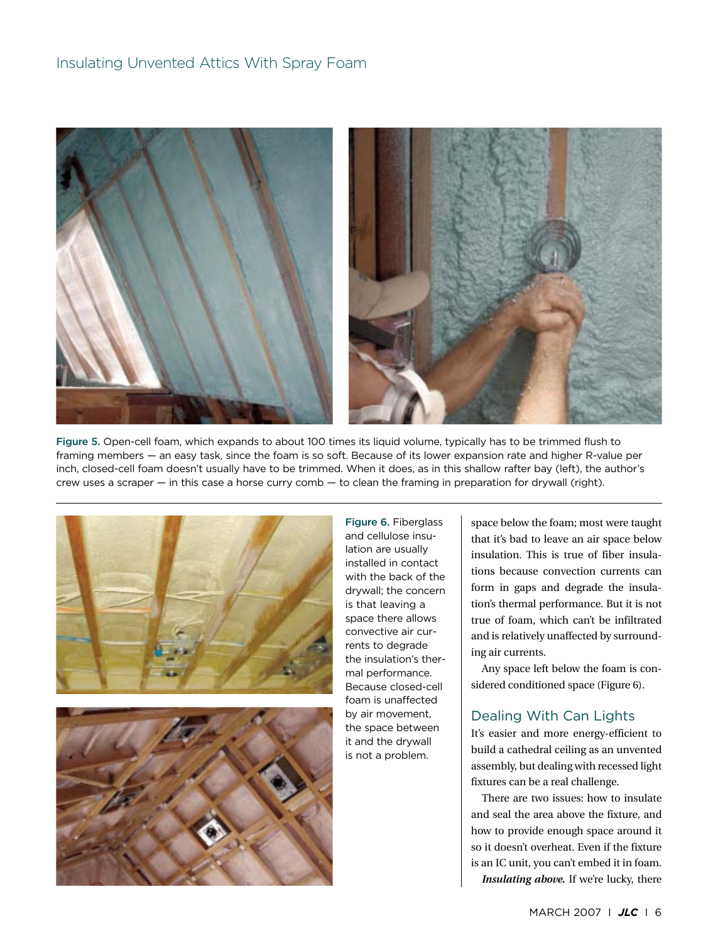

Figure 5. Open-cell foam, which expands to about 100 times its liquid volume, typically has to be trimmed flush to framing members — an easy task, since the foam is so soft. Because of its lower expansion rate and higher R-value per inch, closed-cell foam doesn't usually have to be trimmed. When it does, as in this shallow rafter bay (left), the author's crew uses a scraper — in this case a horse curry comb — to clean the framing in preparation for drywall (right).





Figure 6. Fiberglass and cellulose insulation are usually installed in contact with the back of the drywall; the concern is that leaving a space there allows convective air currents to degrade the insulation's thermal performance. Because closed-cell foam is unaffected by air movement, the space between it and the drywall is not a problem.

space below the foam; most were taught that it's bad to leave an air space below insulation. This is true of fiber insulations because convection currents can form in gaps and degrade the insulation's thermal performance. But it is not true of foam, which can't be infiltrated and is relatively unaffected by surrounding air currents.

Any space left below the foam is considered conditioned space (Figure 6).

#### Dealing With Can Lights

It's easier and more energy-efficient to build a cathedral ceiling as an unvented assembly, but dealing with recessed light fixtures can be a real challenge.

There are two issues: how to insulate and seal the area above the fixture, and how to provide enough space around it so it doesn't overheat. Even if the fixture is an IC unit, you can't embed it in foam. *Insulating above.* If we're lucky, there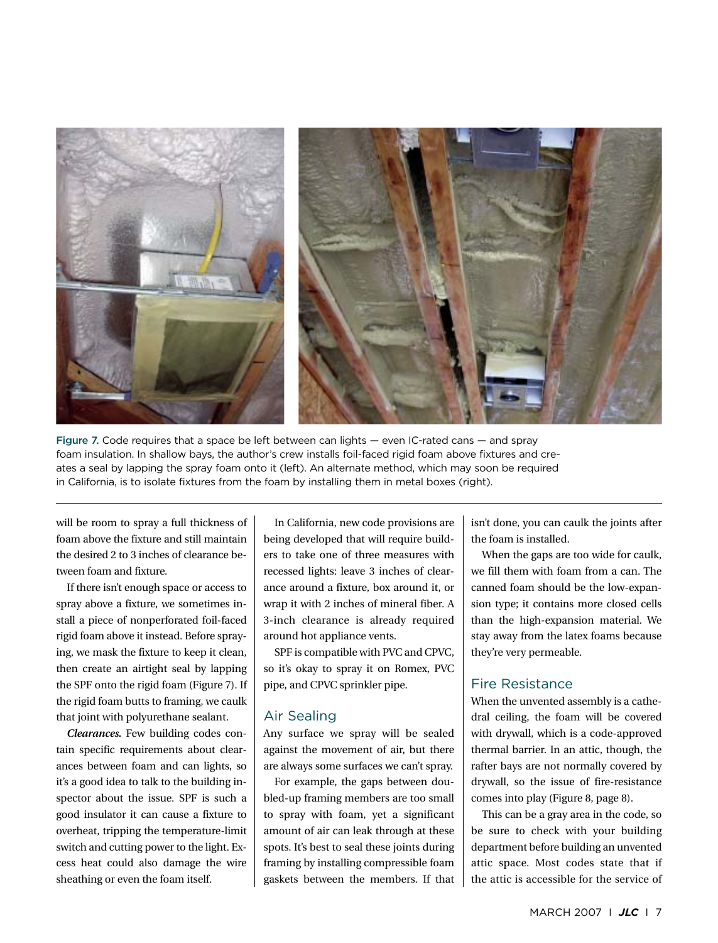

Figure 7. Code requires that a space be left between can lights — even IC-rated cans — and spray foam insulation. In shallow bays, the author's crew installs foil-faced rigid foam above fixtures and creates a seal by lapping the spray foam onto it (left). An alternate method, which may soon be required in California, is to isolate fixtures from the foam by installing them in metal boxes (right).

will be room to spray a full thickness of foam above the fixture and still maintain the desired 2 to 3 inches of clearance between foam and fixture.

If there isn't enough space or access to spray above a fixture, we sometimes install a piece of nonperforated foil-faced rigid foam above it instead. Before spraying, we mask the fixture to keep it clean, then create an airtight seal by lapping the SPF onto the rigid foam (Figure 7). If the rigid foam butts to framing, we caulk that joint with polyurethane sealant.

*Clearances.* Few building codes contain specific requirements about clearances between foam and can lights, so it's a good idea to talk to the building inspector about the issue. SPF is such a good insulator it can cause a fixture to overheat, tripping the temperature-limit switch and cutting power to the light. Excess heat could also damage the wire sheathing or even the foam itself.

In California, new code provisions are being developed that will require builders to take one of three measures with recessed lights: leave 3 inches of clearance around a fixture, box around it, or wrap it with 2 inches of mineral fiber. A 3-inch clearance is already required around hot appliance vents.

SPF is compatible with PVC and CPVC, so it's okay to spray it on Romex, PVC pipe, and CPVC sprinkler pipe.

#### Air Sealing

Any surface we spray will be sealed against the movement of air, but there are always some surfaces we can't spray.

For example, the gaps between doubled-up framing members are too small to spray with foam, yet a significant amount of air can leak through at these spots. It's best to seal these joints during framing by installing compressible foam gaskets between the members. If that isn't done, you can caulk the joints after the foam is installed.

When the gaps are too wide for caulk, we fill them with foam from a can. The canned foam should be the low-expansion type; it contains more closed cells than the high-expansion material. We stay away from the latex foams because they're very permeable.

#### Fire Resistance

When the unvented assembly is a cathedral ceiling, the foam will be covered with drywall, which is a code-approved thermal barrier. In an attic, though, the rafter bays are not normally covered by drywall, so the issue of fire-resistance comes into play (Figure 8, page 8).

This can be a gray area in the code, so be sure to check with your building department before building an unvented attic space. Most codes state that if the attic is accessible for the service of